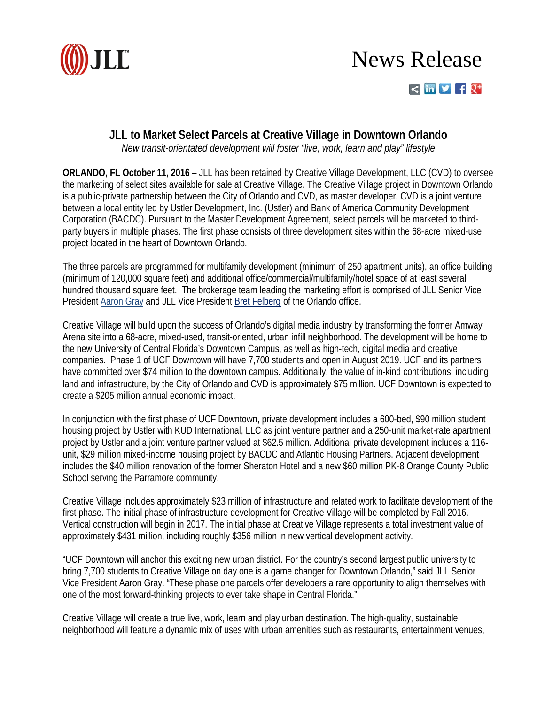

## News Release  $\leq$   $\ln$   $\vee$   $\neq$   $\sqrt{1}$

## **JLL to Market Select Parcels at Creative Village in Downtown Orlando**

*New transit-orientated development will foster "live, work, learn and play" lifestyle* 

**ORLANDO, FL October 11, 2016** – JLL has been retained by Creative Village Development, LLC (CVD) to oversee the marketing of select sites available for sale at Creative Village. The Creative Village project in Downtown Orlando is a public-private partnership between the City of Orlando and CVD, as master developer. CVD is a joint venture between a local entity led by Ustler Development, Inc. (Ustler) and Bank of America Community Development Corporation (BACDC). Pursuant to the Master Development Agreement, select parcels will be marketed to thirdparty buyers in multiple phases. The first phase consists of three development sites within the 68-acre mixed-use project located in the heart of Downtown Orlando.

The three parcels are programmed for multifamily development (minimum of 250 apartment units), an office building (minimum of 120,000 square feet) and additional office/commercial/multifamily/hotel space of at least several hundred thousand square feet. The brokerage team leading the marketing effort is comprised of JLL Senior Vice President [Aaron Gray](http://www.us.jll.com/united-states/en-us/people/1174/aaron-gray) and JLL Vice President [Bret Felberg](http://www.us.jll.com/united-states/en-us/people/2886/bret-felberg) of the Orlando office.

Creative Village will build upon the success of Orlando's digital media industry by transforming the former Amway Arena site into a 68-acre, mixed-used, transit-oriented, urban infill neighborhood. The development will be home to the new University of Central Florida's Downtown Campus, as well as high-tech, digital media and creative companies. Phase 1 of UCF Downtown will have 7,700 students and open in August 2019. UCF and its partners have committed over \$74 million to the downtown campus. Additionally, the value of in-kind contributions, including land and infrastructure, by the City of Orlando and CVD is approximately \$75 million. UCF Downtown is expected to create a \$205 million annual economic impact.

In conjunction with the first phase of UCF Downtown, private development includes a 600-bed, \$90 million student housing project by Ustler with KUD International, LLC as joint venture partner and a 250-unit market-rate apartment project by Ustler and a joint venture partner valued at \$62.5 million. Additional private development includes a 116 unit, \$29 million mixed-income housing project by BACDC and Atlantic Housing Partners. Adjacent development includes the \$40 million renovation of the former Sheraton Hotel and a new \$60 million PK-8 Orange County Public School serving the Parramore community.

Creative Village includes approximately \$23 million of infrastructure and related work to facilitate development of the first phase. The initial phase of infrastructure development for Creative Village will be completed by Fall 2016. Vertical construction will begin in 2017. The initial phase at Creative Village represents a total investment value of approximately \$431 million, including roughly \$356 million in new vertical development activity.

"UCF Downtown will anchor this exciting new urban district. For the country's second largest public university to bring 7,700 students to Creative Village on day one is a game changer for Downtown Orlando," said JLL Senior Vice President Aaron Gray. "These phase one parcels offer developers a rare opportunity to align themselves with one of the most forward-thinking projects to ever take shape in Central Florida."

Creative Village will create a true live, work, learn and play urban destination. The high-quality, sustainable neighborhood will feature a dynamic mix of uses with urban amenities such as restaurants, entertainment venues,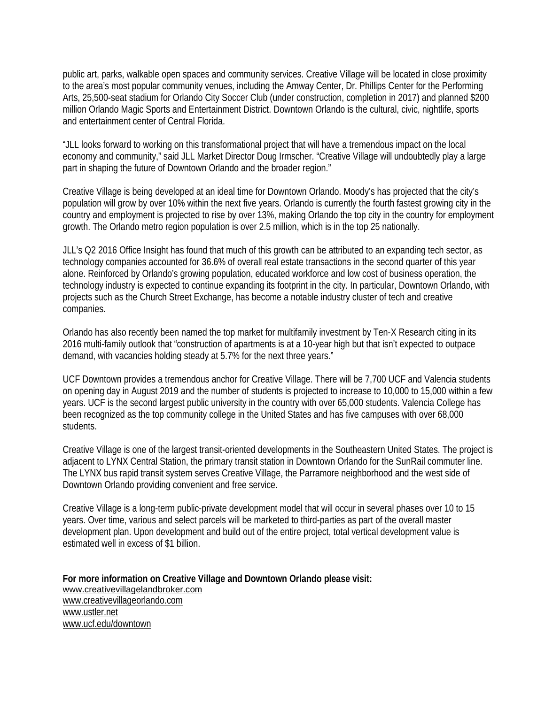public art, parks, walkable open spaces and community services. Creative Village will be located in close proximity to the area's most popular community venues, including the Amway Center, Dr. Phillips Center for the Performing Arts, 25,500-seat stadium for Orlando City Soccer Club (under construction, completion in 2017) and planned \$200 million Orlando Magic Sports and Entertainment District. Downtown Orlando is the cultural, civic, nightlife, sports and entertainment center of Central Florida.

"JLL looks forward to working on this transformational project that will have a tremendous impact on the local economy and community," said JLL Market Director Doug Irmscher. "Creative Village will undoubtedly play a large part in shaping the future of Downtown Orlando and the broader region."

Creative Village is being developed at an ideal time for Downtown Orlando. Moody's has projected that the city's population will grow by over 10% within the next five years. Orlando is currently the fourth fastest growing city in the country and employment is projected to rise by over 13%, making Orlando the top city in the country for employment growth. The Orlando metro region population is over 2.5 million, which is in the top 25 nationally.

JLL's Q2 2016 Office Insight has found that much of this growth can be attributed to an expanding tech sector, as technology companies accounted for 36.6% of overall real estate transactions in the second quarter of this year alone. Reinforced by Orlando's growing population, educated workforce and low cost of business operation, the technology industry is expected to continue expanding its footprint in the city. In particular, Downtown Orlando, with projects such as the Church Street Exchange, has become a notable industry cluster of tech and creative companies.

Orlando has also recently been named the top market for multifamily investment by Ten-X Research citing in its 2016 multi-family outlook that "construction of apartments is at a 10-year high but that isn't expected to outpace demand, with vacancies holding steady at 5.7% for the next three years."

UCF Downtown provides a tremendous anchor for Creative Village. There will be 7,700 UCF and Valencia students on opening day in August 2019 and the number of students is projected to increase to 10,000 to 15,000 within a few years. UCF is the second largest public university in the country with over 65,000 students. Valencia College has been recognized as the top community college in the United States and has five campuses with over 68,000 students.

Creative Village is one of the largest transit-oriented developments in the Southeastern United States. The project is adjacent to LYNX Central Station, the primary transit station in Downtown Orlando for the SunRail commuter line. The LYNX bus rapid transit system serves Creative Village, the Parramore neighborhood and the west side of Downtown Orlando providing convenient and free service.

Creative Village is a long-term public-private development model that will occur in several phases over 10 to 15 years. Over time, various and select parcels will be marketed to third-parties as part of the overall master development plan. Upon development and build out of the entire project, total vertical development value is estimated well in excess of \$1 billion.

**For more information on Creative Village and Downtown Orlando please visit:** [www.creativevillagelandbroker.com](http://www.creativevillagelandbroker.com/) [www.creativevillageorlando.com](http://www.creativevillageorlando.com/) [www.ustler.net](http://www.ustler.net/) [www.ucf.edu/downtown](http://www.ucf.edu/downtown/)